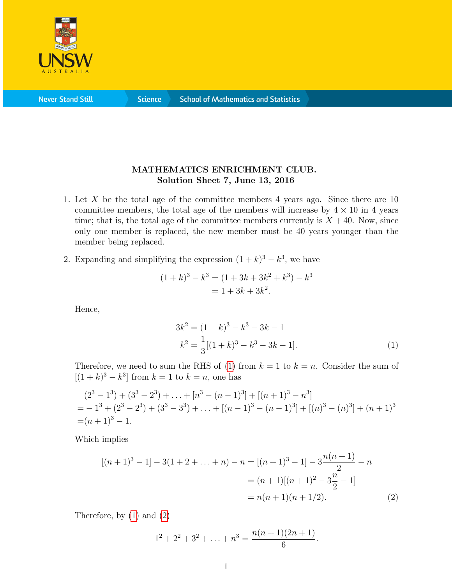

**Never Stand Still** 

**Science** 

## MATHEMATICS ENRICHMENT CLUB. Solution Sheet 7, June 13, 2016

- 1. Let X be the total age of the committee members 4 years ago. Since there are 10 committee members, the total age of the members will increase by  $4 \times 10$  in 4 years time; that is, the total age of the committee members currently is  $X + 40$ . Now, since only one member is replaced, the new member must be 40 years younger than the member being replaced.
- 2. Expanding and simplifying the expression  $(1 + k)^3 k^3$ , we have

$$
(1 + k)3 - k3 = (1 + 3k + 3k2 + k3) - k3
$$
  
= 1 + 3k + 3k<sup>2</sup>.

Hence,

<span id="page-0-0"></span>
$$
3k2 = (1 + k)3 - k3 - 3k - 1
$$
  

$$
k2 = \frac{1}{3}[(1 + k)3 - k3 - 3k - 1].
$$
 (1)

Therefore, we need to sum the RHS of [\(1\)](#page-0-0) from  $k = 1$  to  $k = n$ . Consider the sum of  $[(1 + k)^3 - k^3]$  from  $k = 1$  to  $k = n$ , one has

$$
(23 - 13) + (33 - 23) + ... + [n3 - (n - 1)3] + [(n + 1)3 - n3]= - 13 + (23 - 23) + (33 - 33) + ... + [(n - 1)3 - (n - 1)3] + [(n)3 - (n)3] + (n + 1)3= (n + 1)3 - 1.
$$

Which implies

$$
[(n+1)^3 - 1] - 3(1 + 2 + \dots + n) - n = [(n+1)^3 - 1] - 3\frac{n(n+1)}{2} - n
$$
  
=  $(n+1)[(n+1)^2 - 3\frac{n}{2} - 1]$   
=  $n(n+1)(n+1/2).$  (2)

Therefore, by [\(1\)](#page-0-0) and [\(2\)](#page-0-1)

<span id="page-0-1"></span>
$$
1^2 + 2^2 + 3^2 + \ldots + n^3 = \frac{n(n+1)(2n+1)}{6}.
$$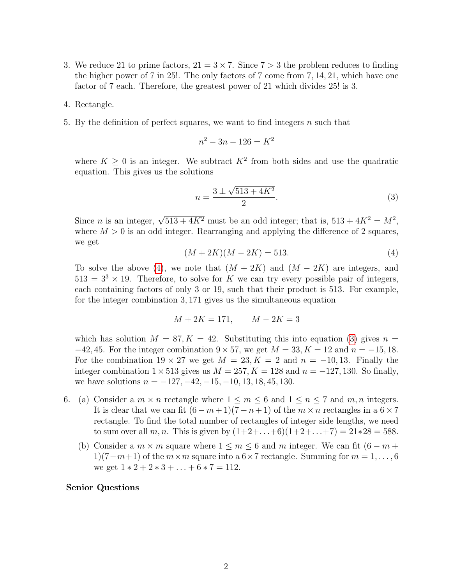- 3. We reduce 21 to prime factors,  $21 = 3 \times 7$ . Since  $7 > 3$  the problem reduces to finding the higher power of 7 in 25!. The only factors of 7 come from 7, 14, 21, which have one factor of 7 each. Therefore, the greatest power of 21 which divides 25! is 3.
- 4. Rectangle.
- 5. By the definition of perfect squares, we want to find integers  $n$  such that

$$
n^2 - 3n - 126 = K^2
$$

where  $K \geq 0$  is an integer. We subtract  $K^2$  from both sides and use the quadratic equation. This gives us the solutions

<span id="page-1-1"></span>
$$
n = \frac{3 \pm \sqrt{513 + 4K^2}}{2}.
$$
\n(3)

Since *n* is an integer,  $\sqrt{513 + 4K^2}$  must be an odd integer; that is,  $513 + 4K^2 = M^2$ , where  $M > 0$  is an odd integer. Rearranging and applying the difference of 2 squares. we get

<span id="page-1-0"></span>
$$
(M + 2K)(M - 2K) = 513.
$$
 (4)

To solve the above [\(4\)](#page-1-0), we note that  $(M + 2K)$  and  $(M - 2K)$  are integers, and  $513 = 3<sup>3</sup> \times 19$ . Therefore, to solve for K we can try every possible pair of integers, each containing factors of only 3 or 19, such that their product is 513. For example, for the integer combination 3, 171 gives us the simultaneous equation

$$
M + 2K = 171, \qquad M - 2K = 3
$$

which has solution  $M = 87, K = 42$ . Substituting this into equation [\(3\)](#page-1-1) gives  $n =$  $-42, 45$ . For the integer combination  $9 \times 57$ , we get  $M = 33, K = 12$  and  $n = -15, 18$ . For the combination  $19 \times 27$  we get  $M = 23, K = 2$  and  $n = -10, 13$ . Finally the integer combination  $1 \times 513$  gives us  $M = 257, K = 128$  and  $n = -127, 130$ . So finally, we have solutions  $n = -127, -42, -15, -10, 13, 18, 45, 130.$ 

- 6. (a) Consider a  $m \times n$  rectangle where  $1 \leq m \leq 6$  and  $1 \leq n \leq 7$  and  $m, n$  integers. It is clear that we can fit  $(6 - m + 1)(7 - n + 1)$  of the  $m \times n$  rectangles in a  $6 \times 7$ rectangle. To find the total number of rectangles of integer side lengths, we need to sum over all m, n. This is given by  $(1+2+\ldots+6)(1+2+\ldots+7) = 21*28 = 588$ .
	- (b) Consider a  $m \times m$  square where  $1 \leq m \leq 6$  and m integer. We can fit  $(6 m +$  $1(7-m+1)$  of the  $m \times m$  square into a  $6 \times 7$  rectangle. Summing for  $m = 1, \ldots, 6$ we get  $1 * 2 + 2 * 3 + \ldots + 6 * 7 = 112$ .

## Senior Questions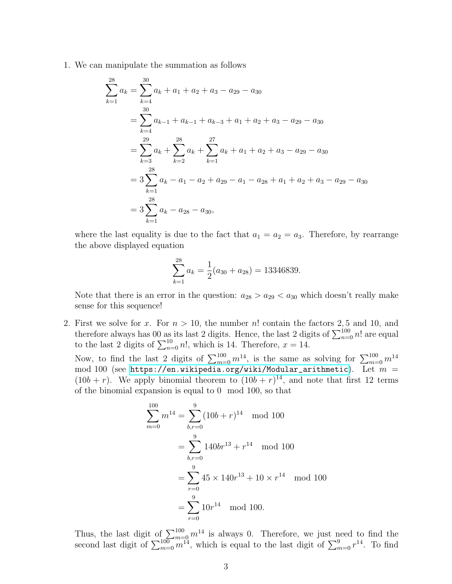1. We can manipulate the summation as follows

$$
\sum_{k=1}^{28} a_k = \sum_{k=4}^{30} a_k + a_1 + a_2 + a_3 - a_{29} - a_{30}
$$
  
= 
$$
\sum_{k=4}^{30} a_{k-1} + a_{k-1} + a_{k-3} + a_1 + a_2 + a_3 - a_{29} - a_{30}
$$
  
= 
$$
\sum_{k=3}^{29} a_k + \sum_{k=2}^{28} a_k + \sum_{k=1}^{27} a_k + a_1 + a_2 + a_3 - a_{29} - a_{30}
$$
  
= 
$$
3 \sum_{k=1}^{28} a_k - a_1 - a_2 + a_{29} - a_1 - a_{28} + a_1 + a_2 + a_3 - a_{29} - a_{30}
$$
  
= 
$$
3 \sum_{k=1}^{28} a_k - a_{28} - a_{30},
$$

where the last equality is due to the fact that  $a_1 = a_2 = a_3$ . Therefore, by rearrange the above displayed equation

$$
\sum_{k=1}^{28} a_k = \frac{1}{2}(a_{30} + a_{28}) = 13346839.
$$

Note that there is an error in the question:  $a_{28} > a_{29} < a_{30}$  which doesn't really make sense for this sequence!

2. First we solve for x. For  $n > 10$ , the number n! contain the factors 2,5 and 10, and therefore always has 00 as its last 2 digits. Hence, the last 2 digits of  $\sum_{n=0}^{100} n!$  are equal to the last 2 digits of  $\sum_{n=0}^{10} n!$ , which is 14. Therefore,  $x = 14$ .

Now, to find the last 2 digits of  $\sum_{m=0}^{100} m^{14}$ , is the same as solving for  $\sum_{m=0}^{100} m^{14}$  $\bmod$   $100$  (see <code>[https://en.wikipedia.org/wiki/Modular\\_arithmetic](https://en.wikipedia.org/wiki/Modular_arithmetic)</code>). Let  $m$  =  $(10b + r)$ . We apply binomial theorem to  $(10b + r)^{14}$ , and note that first 12 terms of the binomial expansion is equal to 0 mod 100, so that

$$
\sum_{m=0}^{100} m^{14} = \sum_{b,r=0}^{9} (10b+r)^{14} \mod 100
$$
  
= 
$$
\sum_{b,r=0}^{9} 140br^{13} + r^{14} \mod 100
$$
  
= 
$$
\sum_{r=0}^{9} 45 \times 140r^{13} + 10 \times r^{14} \mod 100
$$
  
= 
$$
\sum_{r=0}^{9} 10r^{14} \mod 100.
$$

Thus, the last digit of  $\sum_{m=0}^{100} m^{14}$  is always 0. Therefore, we just need to find the second last digit of  $\sum_{m=0}^{100} m_1^{14}$ , which is equal to the last digit of  $\sum_{m=0}^{9} r^{14}$ . To find